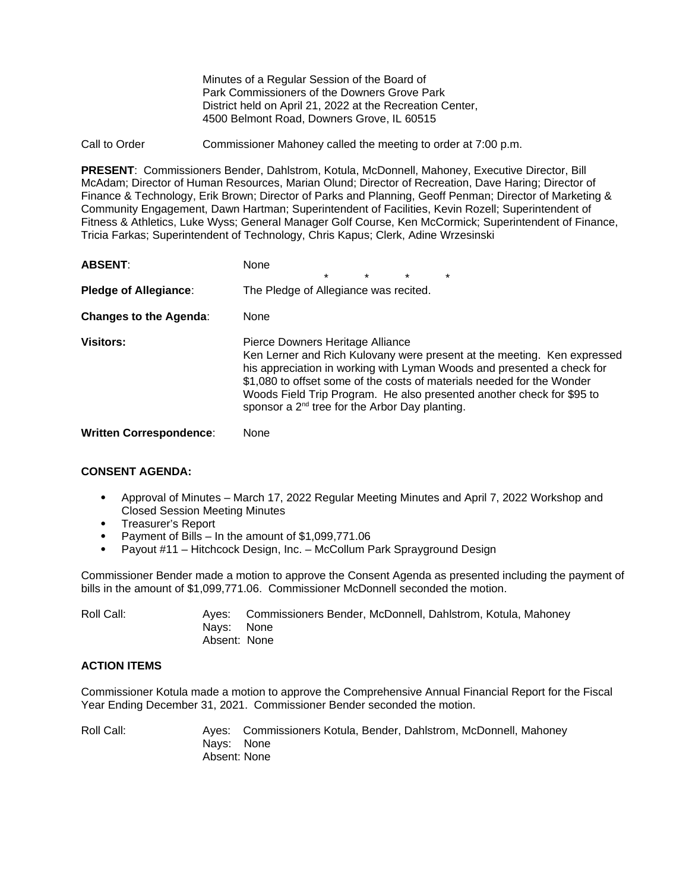Minutes of a Regular Session of the Board of Park Commissioners of the Downers Grove Park District held on April 21, 2022 at the Recreation Center, 4500 Belmont Road, Downers Grove, IL 60515

Call to Order Commissioner Mahoney called the meeting to order at 7:00 p.m.

**PRESENT**: Commissioners Bender, Dahlstrom, Kotula, McDonnell, Mahoney, Executive Director, Bill McAdam; Director of Human Resources, Marian Olund; Director of Recreation, Dave Haring; Director of Finance & Technology, Erik Brown; Director of Parks and Planning, Geoff Penman; Director of Marketing & Community Engagement, Dawn Hartman; Superintendent of Facilities, Kevin Rozell; Superintendent of Fitness & Athletics, Luke Wyss; General Manager Golf Course, Ken McCormick; Superintendent of Finance, Tricia Farkas; Superintendent of Technology, Chris Kapus; Clerk, Adine Wrzesinski

| <b>ABSENT:</b>                 | None<br>$\star$<br>$\star$<br>$\star$<br>$\star$                                                                                                                                                                                                                                                                                                                                                       |
|--------------------------------|--------------------------------------------------------------------------------------------------------------------------------------------------------------------------------------------------------------------------------------------------------------------------------------------------------------------------------------------------------------------------------------------------------|
| <b>Pledge of Allegiance:</b>   | The Pledge of Allegiance was recited.                                                                                                                                                                                                                                                                                                                                                                  |
| <b>Changes to the Agenda:</b>  | None                                                                                                                                                                                                                                                                                                                                                                                                   |
| <b>Visitors:</b>               | Pierce Downers Heritage Alliance<br>Ken Lerner and Rich Kulovany were present at the meeting. Ken expressed<br>his appreciation in working with Lyman Woods and presented a check for<br>\$1,080 to offset some of the costs of materials needed for the Wonder<br>Woods Field Trip Program. He also presented another check for \$95 to<br>sponsor a 2 <sup>nd</sup> tree for the Arbor Day planting. |
| <b>Written Correspondence:</b> | None                                                                                                                                                                                                                                                                                                                                                                                                   |

### **CONSENT AGENDA:**

- Approval of Minutes March 17, 2022 Regular Meeting Minutes and April 7, 2022 Workshop and Closed Session Meeting Minutes
- Treasurer's Report
- Payment of Bills In the amount of \$1,099,771.06
- Payout #11 Hitchcock Design, Inc. McCollum Park Sprayground Design

Commissioner Bender made a motion to approve the Consent Agenda as presented including the payment of bills in the amount of \$1,099,771.06. Commissioner McDonnell seconded the motion.

Roll Call: Ayes: Commissioners Bender, McDonnell, Dahlstrom, Kotula, Mahoney Nays: None Absent: None

### **ACTION ITEMS**

Commissioner Kotula made a motion to approve the Comprehensive Annual Financial Report for the Fiscal Year Ending December 31, 2021. Commissioner Bender seconded the motion.

Roll Call: Ayes: Commissioners Kotula, Bender, Dahlstrom, McDonnell, Mahoney Nays: None Absent: None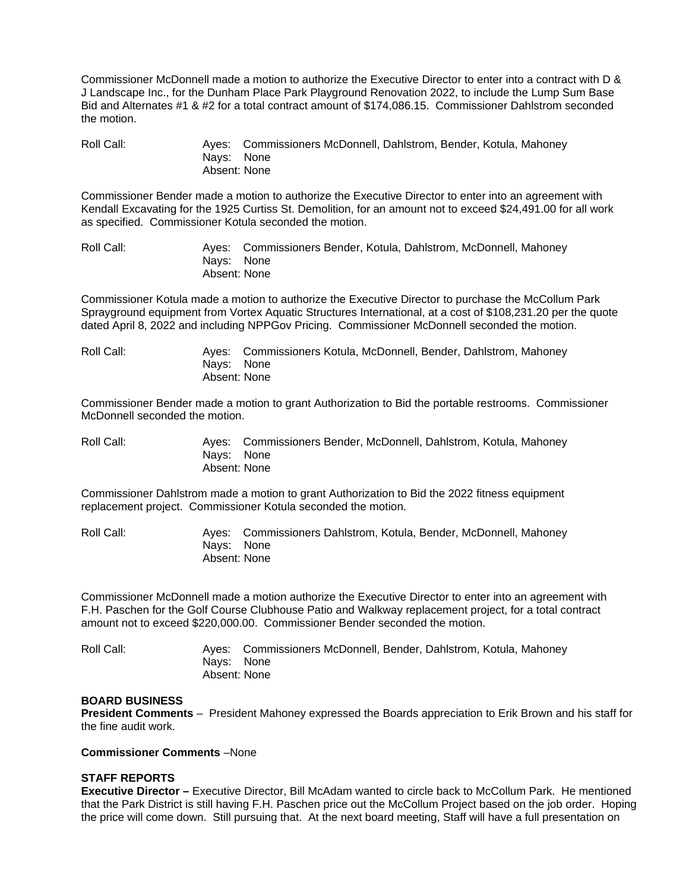Commissioner McDonnell made a motion to authorize the Executive Director to enter into a contract with D & J Landscape Inc., for the Dunham Place Park Playground Renovation 2022, to include the Lump Sum Base Bid and Alternates #1 & #2 for a total contract amount of \$174,086.15. Commissioner Dahlstrom seconded the motion.

Roll Call: Ayes: Commissioners McDonnell, Dahlstrom, Bender, Kotula, Mahoney Nays: None Absent: None

Commissioner Bender made a motion to authorize the Executive Director to enter into an agreement with Kendall Excavating for the 1925 Curtiss St. Demolition, for an amount not to exceed \$24,491.00 for all work as specified. Commissioner Kotula seconded the motion.

Roll Call: Ayes: Commissioners Bender, Kotula, Dahlstrom, McDonnell, Mahoney Nays: None Absent: None

Commissioner Kotula made a motion to authorize the Executive Director to purchase the McCollum Park Sprayground equipment from Vortex Aquatic Structures International, at a cost of \$108,231.20 per the quote dated April 8, 2022 and including NPPGov Pricing. Commissioner McDonnell seconded the motion.

Roll Call: Ayes: Commissioners Kotula, McDonnell, Bender, Dahlstrom, Mahoney Nays: None Absent: None

Commissioner Bender made a motion to grant Authorization to Bid the portable restrooms. Commissioner McDonnell seconded the motion.

Roll Call: Ayes: Commissioners Bender, McDonnell, Dahlstrom, Kotula, Mahoney Nays: None Absent: None

Commissioner Dahlstrom made a motion to grant Authorization to Bid the 2022 fitness equipment replacement project. Commissioner Kotula seconded the motion.

Roll Call: Ayes: Commissioners Dahlstrom, Kotula, Bender, McDonnell, Mahoney Nays: None Absent: None

Commissioner McDonnell made a motion authorize the Executive Director to enter into an agreement with F.H. Paschen for the Golf Course Clubhouse Patio and Walkway replacement project, for a total contract amount not to exceed \$220,000.00. Commissioner Bender seconded the motion.

Roll Call: Ayes: Commissioners McDonnell, Bender, Dahlstrom, Kotula, Mahoney Nays: None Absent: None

#### **BOARD BUSINESS**

**President Comments** – President Mahoney expressed the Boards appreciation to Erik Brown and his staff for the fine audit work.

**Commissioner Comments** –None

#### **STAFF REPORTS**

**Executive Director –** Executive Director, Bill McAdam wanted to circle back to McCollum Park. He mentioned that the Park District is still having F.H. Paschen price out the McCollum Project based on the job order. Hoping the price will come down. Still pursuing that. At the next board meeting, Staff will have a full presentation on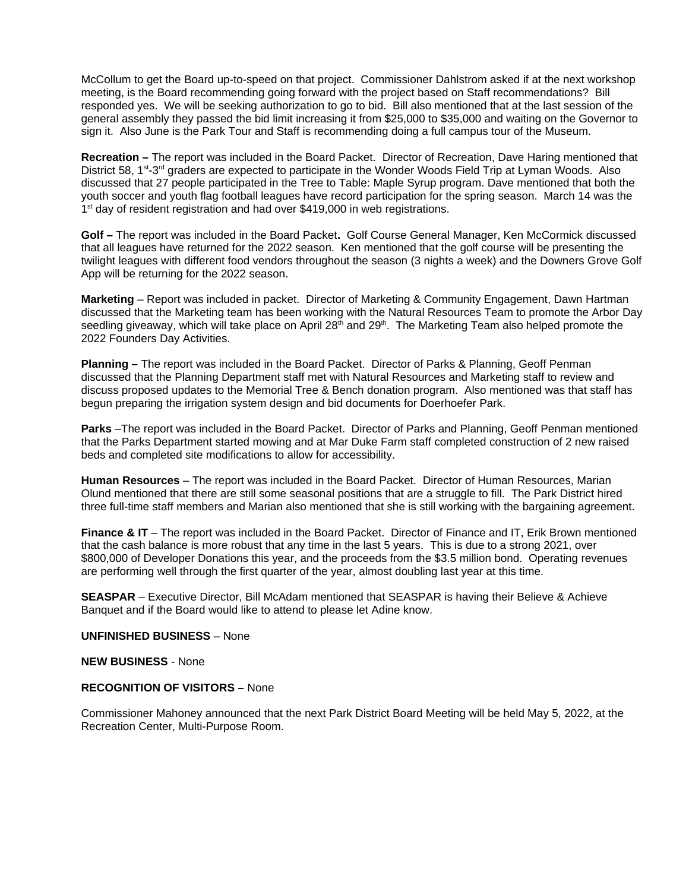McCollum to get the Board up-to-speed on that project. Commissioner Dahlstrom asked if at the next workshop meeting, is the Board recommending going forward with the project based on Staff recommendations? Bill responded yes. We will be seeking authorization to go to bid. Bill also mentioned that at the last session of the general assembly they passed the bid limit increasing it from \$25,000 to \$35,000 and waiting on the Governor to sign it. Also June is the Park Tour and Staff is recommending doing a full campus tour of the Museum.

**Recreation –** The report was included in the Board Packet.Director of Recreation, Dave Haring mentioned that District 58,  $1<sup>st</sup>$ -3<sup>rd</sup> graders are expected to participate in the Wonder Woods Field Trip at Lyman Woods. Also discussed that 27 people participated in the Tree to Table: Maple Syrup program. Dave mentioned that both the youth soccer and youth flag football leagues have record participation for the spring season. March 14 was the  $1<sup>st</sup>$  day of resident registration and had over \$419,000 in web registrations.

**Golf –** The report was included in the Board Packet**.** Golf Course General Manager, Ken McCormick discussed that all leagues have returned for the 2022 season. Ken mentioned that the golf course will be presenting the twilight leagues with different food vendors throughout the season (3 nights a week) and the Downers Grove Golf App will be returning for the 2022 season.

**Marketing** – Report was included in packet. Director of Marketing & Community Engagement, Dawn Hartman discussed that the Marketing team has been working with the Natural Resources Team to promote the Arbor Day seedling giveaway, which will take place on April 28<sup>th</sup> and 29<sup>th</sup>. The Marketing Team also helped promote the 2022 Founders Day Activities.

**Planning –** The report was included in the Board Packet. Director of Parks & Planning, Geoff Penman discussed that the Planning Department staff met with Natural Resources and Marketing staff to review and discuss proposed updates to the Memorial Tree & Bench donation program. Also mentioned was that staff has begun preparing the irrigation system design and bid documents for Doerhoefer Park.

**Parks** –The report was included in the Board Packet. Director of Parks and Planning, Geoff Penman mentioned that the Parks Department started mowing and at Mar Duke Farm staff completed construction of 2 new raised beds and completed site modifications to allow for accessibility.

**Human Resources** – The report was included in the Board Packet. Director of Human Resources, Marian Olund mentioned that there are still some seasonal positions that are a struggle to fill. The Park District hired three full-time staff members and Marian also mentioned that she is still working with the bargaining agreement.

**Finance & IT** – The report was included in the Board Packet. Director of Finance and IT, Erik Brown mentioned that the cash balance is more robust that any time in the last 5 years. This is due to a strong 2021, over \$800,000 of Developer Donations this year, and the proceeds from the \$3.5 million bond. Operating revenues are performing well through the first quarter of the year, almost doubling last year at this time.

**SEASPAR** – Executive Director, Bill McAdam mentioned that SEASPAR is having their Believe & Achieve Banquet and if the Board would like to attend to please let Adine know.

## **UNFINISHED BUSINESS** – None

**NEW BUSINESS** - None

## **RECOGNITION OF VISITORS –** None

Commissioner Mahoney announced that the next Park District Board Meeting will be held May 5, 2022, at the Recreation Center, Multi-Purpose Room.